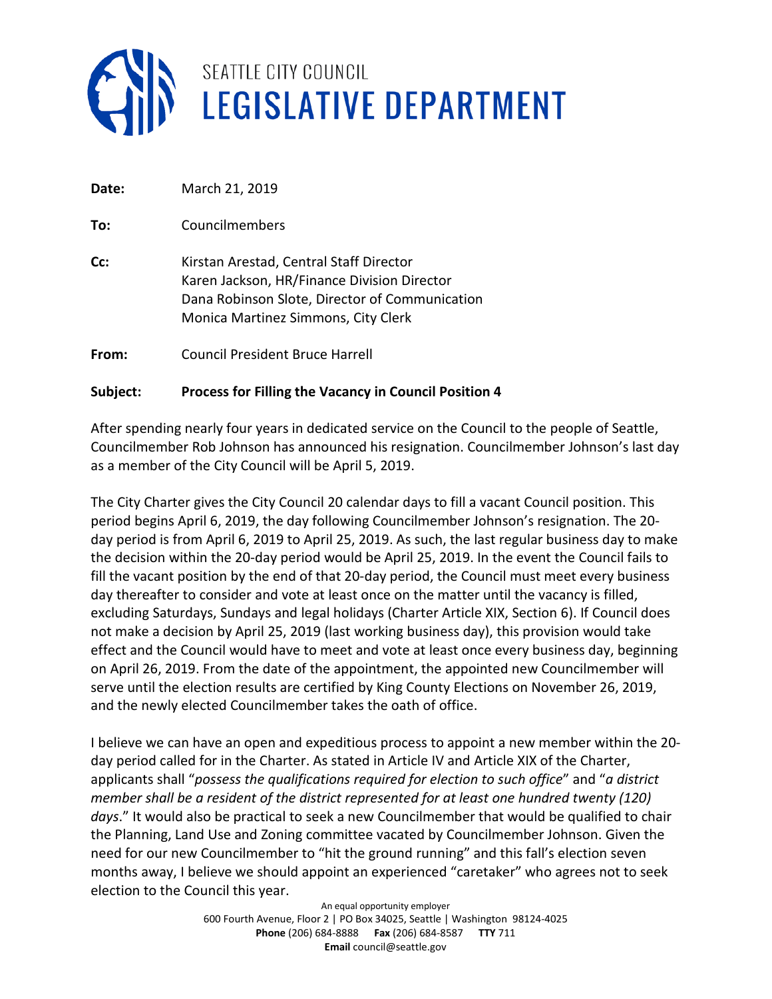

| Date: | March 21, 2019                                                                                                                                                                  |
|-------|---------------------------------------------------------------------------------------------------------------------------------------------------------------------------------|
| To:   | Councilmembers                                                                                                                                                                  |
| Cc:   | Kirstan Arestad, Central Staff Director<br>Karen Jackson, HR/Finance Division Director<br>Dana Robinson Slote, Director of Communication<br>Monica Martinez Simmons, City Clerk |
| From: | Council President Bruce Harrell                                                                                                                                                 |

#### **Subject: Process for Filling the Vacancy in Council Position 4**

After spending nearly four years in dedicated service on the Council to the people of Seattle, Councilmember Rob Johnson has announced his resignation. Councilmember Johnson's last day as a member of the City Council will be April 5, 2019.

The City Charter gives the City Council 20 calendar days to fill a vacant Council position. This period begins April 6, 2019, the day following Councilmember Johnson's resignation. The 20 day period is from April 6, 2019 to April 25, 2019. As such, the last regular business day to make the decision within the 20-day period would be April 25, 2019. In the event the Council fails to fill the vacant position by the end of that 20-day period, the Council must meet every business day thereafter to consider and vote at least once on the matter until the vacancy is filled, excluding Saturdays, Sundays and legal holidays (Charter Article XIX, Section 6). If Council does not make a decision by April 25, 2019 (last working business day), this provision would take effect and the Council would have to meet and vote at least once every business day, beginning on April 26, 2019. From the date of the appointment, the appointed new Councilmember will serve until the election results are certified by King County Elections on November 26, 2019, and the newly elected Councilmember takes the oath of office.

I believe we can have an open and expeditious process to appoint a new member within the 20 day period called for in the Charter. As stated in Article IV and Article XIX of the Charter, applicants shall "*possess the qualifications required for election to such office*" and "*a district member shall be a resident of the district represented for at least one hundred twenty (120) days*." It would also be practical to seek a new Councilmember that would be qualified to chair the Planning, Land Use and Zoning committee vacated by Councilmember Johnson. Given the need for our new Councilmember to "hit the ground running" and this fall's election seven months away, I believe we should appoint an experienced "caretaker" who agrees not to seek election to the Council this year.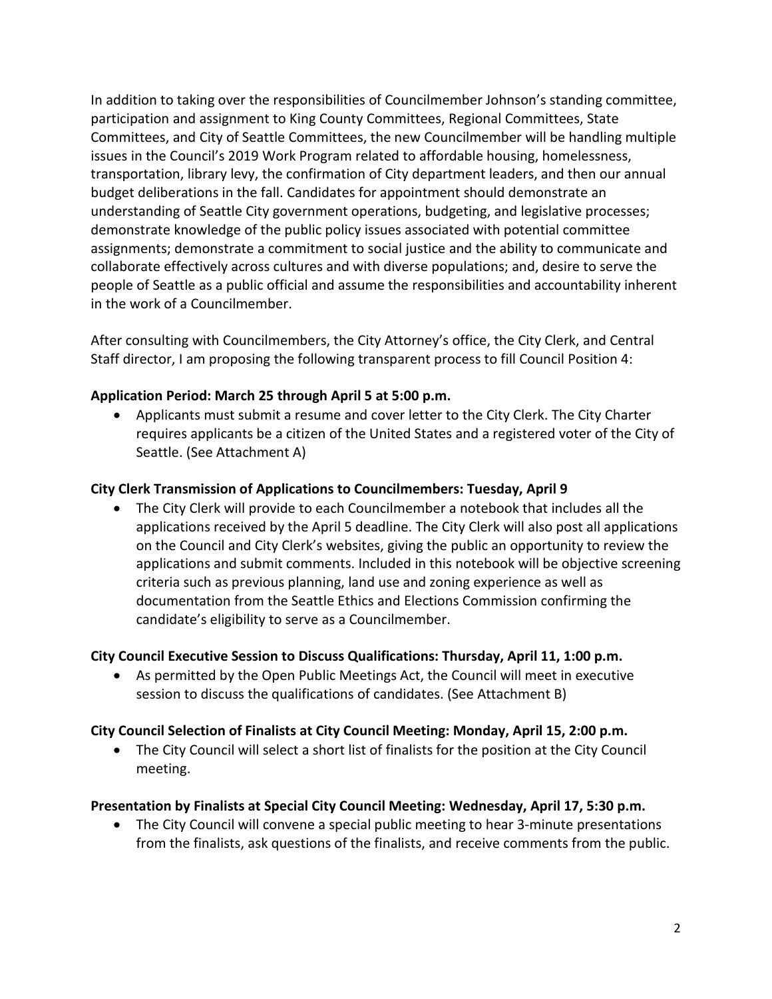In addition to taking over the responsibilities of Councilmember Johnson's standing committee, participation and assignment to King County Committees, Regional Committees, State Committees, and City of Seattle Committees, the new Councilmember will be handling multiple issues in the Council's 2019 Work Program related to affordable housing, homelessness, transportation, library levy, the confirmation of City department leaders, and then our annual budget deliberations in the fall. Candidates for appointment should demonstrate an understanding of Seattle City government operations, budgeting, and legislative processes; demonstrate knowledge of the public policy issues associated with potential committee assignments; demonstrate a commitment to social justice and the ability to communicate and collaborate effectively across cultures and with diverse populations; and, desire to serve the people of Seattle as a public official and assume the responsibilities and accountability inherent in the work of a Councilmember.

After consulting with Councilmembers, the City Attorney's office, the City Clerk, and Central Staff director, I am proposing the following transparent process to fill Council Position 4:

# **Application Period: March 25 through April 5 at 5:00 p.m.**

• Applicants must submit a resume and cover letter to the City Clerk. The City Charter requires applicants be a citizen of the United States and a registered voter of the City of Seattle. (See Attachment A)

## **City Clerk Transmission of Applications to Councilmembers: Tuesday, April 9**

• The City Clerk will provide to each Councilmember a notebook that includes all the applications received by the April 5 deadline. The City Clerk will also post all applications on the Council and City Clerk's websites, giving the public an opportunity to review the applications and submit comments. Included in this notebook will be objective screening criteria such as previous planning, land use and zoning experience as well as documentation from the Seattle Ethics and Elections Commission confirming the candidate's eligibility to serve as a Councilmember.

## **City Council Executive Session to Discuss Qualifications: Thursday, April 11, 1:00 p.m.**

• As permitted by the Open Public Meetings Act, the Council will meet in executive session to discuss the qualifications of candidates. (See Attachment B)

## **City Council Selection of Finalists at City Council Meeting: Monday, April 15, 2:00 p.m.**

• The City Council will select a short list of finalists for the position at the City Council meeting.

## **Presentation by Finalists at Special City Council Meeting: Wednesday, April 17, 5:30 p.m.**

• The City Council will convene a special public meeting to hear 3-minute presentations from the finalists, ask questions of the finalists, and receive comments from the public.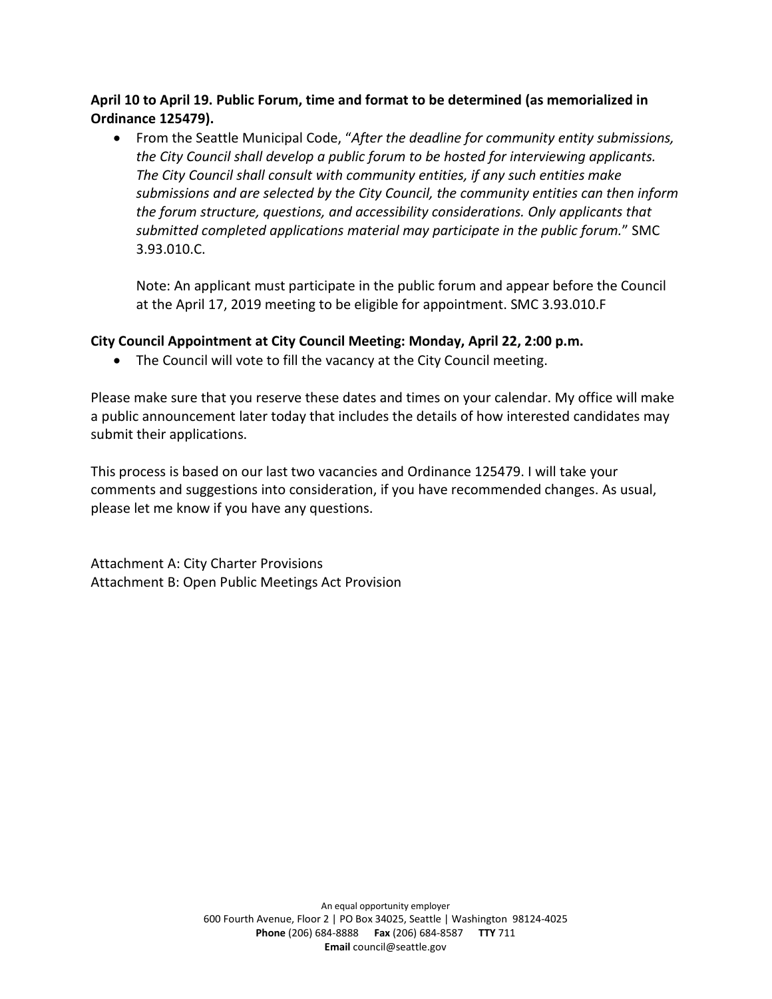**April 10 to April 19. Public Forum, time and format to be determined (as memorialized in Ordinance 125479).**

• From the Seattle Municipal Code, "*After the deadline for community entity submissions, the City Council shall develop a public forum to be hosted for interviewing applicants. The City Council shall consult with community entities, if any such entities make submissions and are selected by the City Council, the community entities can then inform the forum structure, questions, and accessibility considerations. Only applicants that submitted completed applications material may participate in the public forum.*" SMC 3.93.010.C.

Note: An applicant must participate in the public forum and appear before the Council at the April 17, 2019 meeting to be eligible for appointment. SMC 3.93.010.F

## **City Council Appointment at City Council Meeting: Monday, April 22, 2:00 p.m.**

• The Council will vote to fill the vacancy at the City Council meeting.

Please make sure that you reserve these dates and times on your calendar. My office will make a public announcement later today that includes the details of how interested candidates may submit their applications.

This process is based on our last two vacancies and Ordinance 125479. I will take your comments and suggestions into consideration, if you have recommended changes. As usual, please let me know if you have any questions.

Attachment A: City Charter Provisions Attachment B: Open Public Meetings Act Provision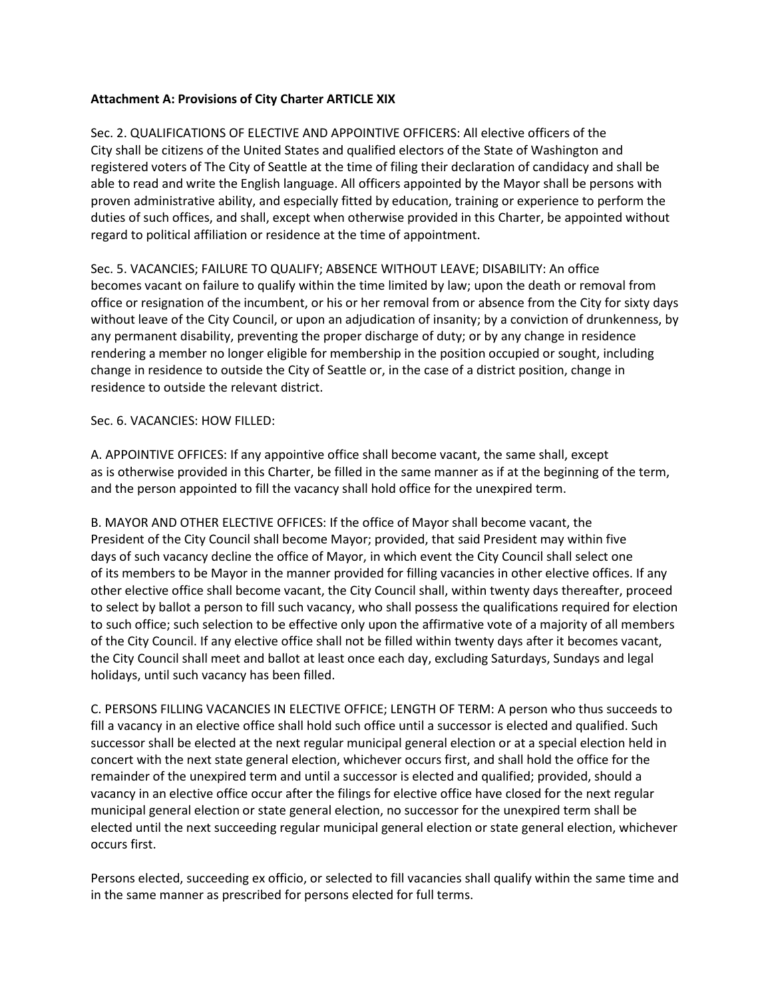#### **Attachment A: Provisions of City Charter ARTICLE XIX**

Sec. 2. QUALIFICATIONS OF ELECTIVE AND APPOINTIVE OFFICERS: All elective officers of the City shall be citizens of the United States and qualified electors of the State of Washington and registered voters of The City of Seattle at the time of filing their declaration of candidacy and shall be able to read and write the English language. All officers appointed by the Mayor shall be persons with proven administrative ability, and especially fitted by education, training or experience to perform the duties of such offices, and shall, except when otherwise provided in this Charter, be appointed without regard to political affiliation or residence at the time of appointment.

Sec. 5. VACANCIES; FAILURE TO QUALIFY; ABSENCE WITHOUT LEAVE; DISABILITY: An office becomes vacant on failure to qualify within the time limited by law; upon the death or removal from office or resignation of the incumbent, or his or her removal from or absence from the City for sixty days without leave of the City Council, or upon an adjudication of insanity; by a conviction of drunkenness, by any permanent disability, preventing the proper discharge of duty; or by any change in residence rendering a member no longer eligible for membership in the position occupied or sought, including change in residence to outside the City of Seattle or, in the case of a district position, change in residence to outside the relevant district.

#### Sec. 6. VACANCIES: HOW FILLED:

A. APPOINTIVE OFFICES: If any appointive office shall become vacant, the same shall, except as is otherwise provided in this Charter, be filled in the same manner as if at the beginning of the term, and the person appointed to fill the vacancy shall hold office for the unexpired term.

B. MAYOR AND OTHER ELECTIVE OFFICES: If the office of Mayor shall become vacant, the President of the City Council shall become Mayor; provided, that said President may within five days of such vacancy decline the office of Mayor, in which event the City Council shall select one of its members to be Mayor in the manner provided for filling vacancies in other elective offices. If any other elective office shall become vacant, the City Council shall, within twenty days thereafter, proceed to select by ballot a person to fill such vacancy, who shall possess the qualifications required for election to such office; such selection to be effective only upon the affirmative vote of a majority of all members of the City Council. If any elective office shall not be filled within twenty days after it becomes vacant, the City Council shall meet and ballot at least once each day, excluding Saturdays, Sundays and legal holidays, until such vacancy has been filled.

C. PERSONS FILLING VACANCIES IN ELECTIVE OFFICE; LENGTH OF TERM: A person who thus succeeds to fill a vacancy in an elective office shall hold such office until a successor is elected and qualified. Such successor shall be elected at the next regular municipal general election or at a special election held in concert with the next state general election, whichever occurs first, and shall hold the office for the remainder of the unexpired term and until a successor is elected and qualified; provided, should a vacancy in an elective office occur after the filings for elective office have closed for the next regular municipal general election or state general election, no successor for the unexpired term shall be elected until the next succeeding regular municipal general election or state general election, whichever occurs first.

Persons elected, succeeding ex officio, or selected to fill vacancies shall qualify within the same time and in the same manner as prescribed for persons elected for full terms.